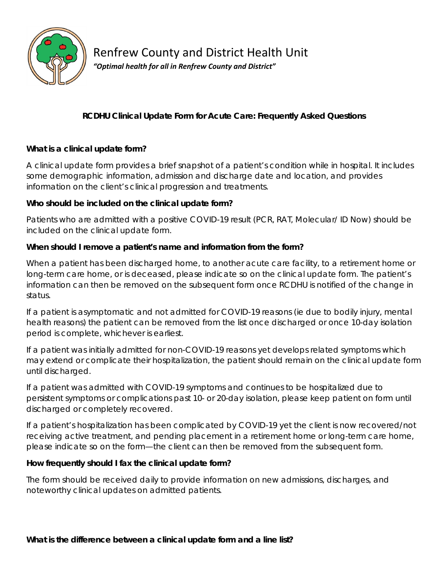

# Renfrew County and District Health Unit

*"Optimal health for all in Renfrew County and District"*

## **RCDHU Clinical Update Form for Acute Care: Frequently Asked Questions**

### **What is a clinical update form?**

A clinical update form provides a brief snapshot of a patient's condition while in hospital. It includes some demographic information, admission and discharge date and location, and provides information on the client's clinical progression and treatments.

#### **Who should be included on the clinical update form?**

Patients who are admitted with a positive COVID-19 result (PCR, RAT, Molecular/ ID Now) should be included on the clinical update form.

#### **When should I remove a patient's name and information from the form?**

When a patient has been discharged home, to another acute care facility, to a retirement home or long-term care home, or is deceased, please indicate so on the clinical update form. The patient's information can then be removed on the subsequent form once RCDHU is notified of the change in status.

If a patient is asymptomatic and not admitted for COVID-19 reasons (ie due to bodily injury, mental health reasons) the patient can be removed from the list once discharged or once 10-day isolation period is complete, whichever is earliest.

If a patient was initially admitted for non-COVID-19 reasons yet develops related symptoms which may extend or complicate their hospitalization, the patient should remain on the clinical update form until discharged.

If a patient was admitted with COVID-19 symptoms and continues to be hospitalized due to persistent symptoms or complications past 10- or 20-day isolation, please keep patient on form until discharged or completely recovered.

If a patient's hospitalization has been complicated by COVID-19 yet the client is now recovered/not receiving active treatment, and pending placement in a retirement home or long-term care home, please indicate so on the form—the client can then be removed from the subsequent form.

#### **How frequently should I fax the clinical update form?**

The form should be received daily to provide information on new admissions, discharges, and noteworthy clinical updates on admitted patients.